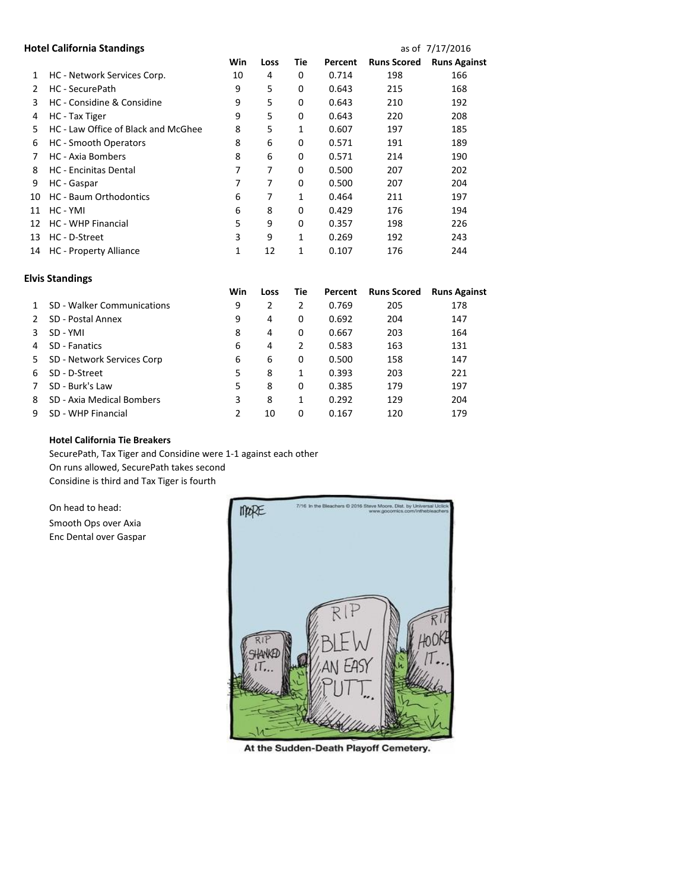## **Hotel California Standings and California Standings as of 7/17/2016**

|    |                                     | Win | Loss | Tie      | Percent | <b>Runs Scored</b> | <b>Runs Against</b> |
|----|-------------------------------------|-----|------|----------|---------|--------------------|---------------------|
| 1  | HC - Network Services Corp.         | 10  | 4    | 0        | 0.714   | 198                | 166                 |
| 2  | HC - SecurePath                     | 9   | 5    | 0        | 0.643   | 215                | 168                 |
| 3  | HC - Considine & Considine          | 9   | 5    | 0        | 0.643   | 210                | 192                 |
| 4  | HC - Tax Tiger                      | 9   | 5    | 0        | 0.643   | 220                | 208                 |
| 5  | HC - Law Office of Black and McGhee | 8   | 5    | 1        | 0.607   | 197                | 185                 |
| 6  | <b>HC</b> - Smooth Operators        | 8   | 6    | 0        | 0.571   | 191                | 189                 |
| 7  | <b>HC</b> - Axia Bombers            | 8   | 6    | 0        | 0.571   | 214                | 190                 |
| 8  | <b>HC</b> - Encinitas Dental        | 7   | 7    | 0        | 0.500   | 207                | 202                 |
| 9  | HC - Gaspar                         | 7   | 7    | 0        | 0.500   | 207                | 204                 |
| 10 | <b>HC</b> - Baum Orthodontics       | 6   | 7    | 1        | 0.464   | 211                | 197                 |
| 11 | HC - YMI                            | 6   | 8    | $\Omega$ | 0.429   | 176                | 194                 |
| 12 | <b>HC - WHP Financial</b>           | 5   | 9    | 0        | 0.357   | 198                | 226                 |
| 13 | HC - D-Street                       | 3   | 9    | 1        | 0.269   | 192                | 243                 |
| 14 | <b>HC</b> - Property Alliance       | 1   | 12   | 1        | 0.107   | 176                | 244                 |
|    |                                     |     |      |          |         |                    |                     |

| <b>Elvis Standings</b> |  |
|------------------------|--|
|------------------------|--|

|    |                            | Win | Loss | Tie | Percent | <b>Runs Scored</b> | <b>Runs Against</b> |
|----|----------------------------|-----|------|-----|---------|--------------------|---------------------|
|    | SD - Walker Communications | 9   | 2    | 2   | 0.769   | 205                | 178                 |
|    | SD - Postal Annex          | 9   | 4    | 0   | 0.692   | 204                | 147                 |
|    | SD - YMI                   | 8   | 4    | 0   | 0.667   | 203                | 164                 |
| 4  | SD - Fanatics              | 6   | 4    | 2   | 0.583   | 163                | 131                 |
| 5. | SD - Network Services Corp | 6   | 6    | 0   | 0.500   | 158                | 147                 |
| 6  | SD - D-Street              | 5   | 8    | 1   | 0.393   | 203                | 221                 |
|    | SD - Burk's Law            | 5   | 8    | 0   | 0.385   | 179                | 197                 |
| 8  | SD - Axia Medical Bombers  | 3   | 8    | 1   | 0.292   | 129                | 204                 |
|    | SD - WHP Financial         |     | 10   | 0   | 0.167   | 120                | 179                 |

## **Hotel California Tie Breakers**

SecurePath, Tax Tiger and Considine were 1-1 against each other On runs allowed, SecurePath takes second Considine is third and Tax Tiger is fourth

On head to head:

Smooth Ops over Axia Enc Dental over Gaspar



At the Sudden-Death Playoff Cemetery.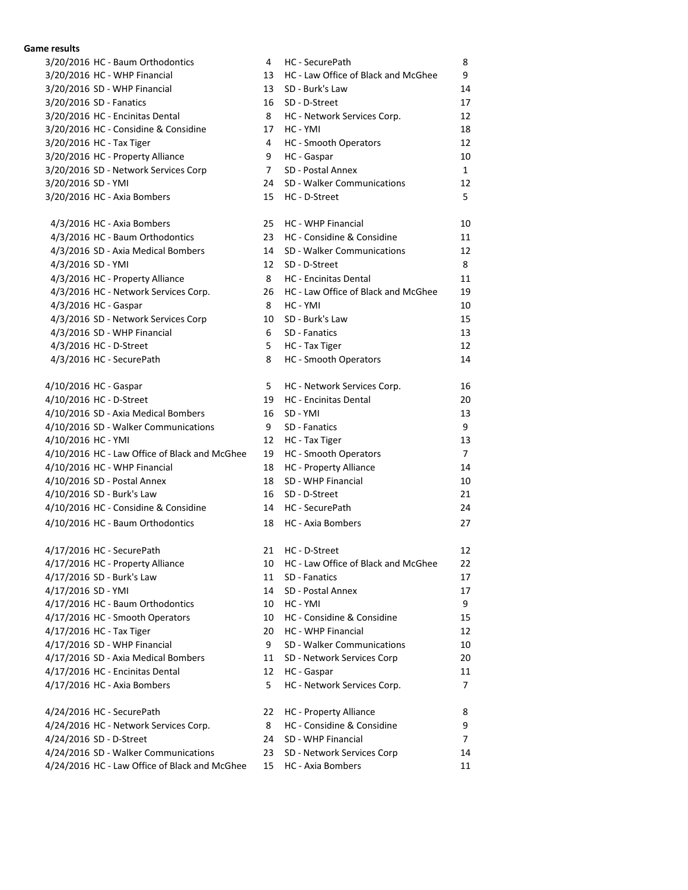## **Game results**

| 3/20/2016 HC - Baum Orthodontics              | 4  | HC - SecurePath                     | 8              |
|-----------------------------------------------|----|-------------------------------------|----------------|
| 3/20/2016 HC - WHP Financial                  | 13 | HC - Law Office of Black and McGhee | 9              |
| 3/20/2016 SD - WHP Financial                  | 13 | SD - Burk's Law                     | 14             |
| 3/20/2016 SD - Fanatics                       | 16 | SD - D-Street                       | 17             |
| 3/20/2016 HC - Encinitas Dental               | 8  | HC - Network Services Corp.         | 12             |
| 3/20/2016 HC - Considine & Considine          | 17 | HC - YMI                            | 18             |
| 3/20/2016 HC - Tax Tiger                      | 4  | HC - Smooth Operators               | 12             |
| 3/20/2016 HC - Property Alliance              | 9  | HC - Gaspar                         | 10             |
| 3/20/2016 SD - Network Services Corp          | 7  | SD - Postal Annex                   | $\mathbf{1}$   |
| 3/20/2016 SD - YMI                            | 24 | SD - Walker Communications          | 12             |
| 3/20/2016 HC - Axia Bombers                   | 15 | HC - D-Street                       | 5              |
| 4/3/2016 HC - Axia Bombers                    | 25 | HC - WHP Financial                  | 10             |
| 4/3/2016 HC - Baum Orthodontics               | 23 | HC - Considine & Considine          | 11             |
| 4/3/2016 SD - Axia Medical Bombers            | 14 | SD - Walker Communications          | 12             |
| 4/3/2016 SD - YMI                             | 12 | SD - D-Street                       | 8              |
| 4/3/2016 HC - Property Alliance               | 8  | <b>HC</b> - Encinitas Dental        | 11             |
| 4/3/2016 HC - Network Services Corp.          | 26 | HC - Law Office of Black and McGhee | 19             |
| 4/3/2016 HC - Gaspar                          | 8  | HC - YMI                            | 10             |
| 4/3/2016 SD - Network Services Corp           | 10 | SD - Burk's Law                     | 15             |
| 4/3/2016 SD - WHP Financial                   | 6  | SD - Fanatics                       | 13             |
| 4/3/2016 HC - D-Street                        | 5  | HC - Tax Tiger                      | 12             |
| 4/3/2016 HC - SecurePath                      | 8  | HC - Smooth Operators               | 14             |
|                                               |    |                                     |                |
| 4/10/2016 HC - Gaspar                         | 5  | HC - Network Services Corp.         | 16             |
| 4/10/2016 HC - D-Street                       | 19 | <b>HC</b> - Encinitas Dental        | 20             |
| 4/10/2016 SD - Axia Medical Bombers           | 16 | SD - YMI                            | 13             |
| 4/10/2016 SD - Walker Communications          | 9  | SD - Fanatics                       | 9              |
| 4/10/2016 HC - YMI                            | 12 | HC - Tax Tiger                      | 13             |
| 4/10/2016 HC - Law Office of Black and McGhee | 19 | HC - Smooth Operators               | 7              |
| 4/10/2016 HC - WHP Financial                  | 18 | <b>HC</b> - Property Alliance       | 14             |
| 4/10/2016 SD - Postal Annex                   | 18 | SD - WHP Financial                  | 10             |
| 4/10/2016 SD - Burk's Law                     | 16 | SD - D-Street                       | 21             |
| 4/10/2016 HC - Considine & Considine          | 14 | HC - SecurePath                     | 24             |
| 4/10/2016 HC - Baum Orthodontics              | 18 | HC - Axia Bombers                   | 27             |
| 4/17/2016 HC - SecurePath                     | 21 | HC - D-Street                       | 12             |
| 4/17/2016 HC - Property Alliance              | 10 | HC - Law Office of Black and McGhee | 22             |
| 4/17/2016 SD - Burk's Law                     | 11 | SD - Fanatics                       | 17             |
| 4/17/2016 SD - YMI                            | 14 | SD - Postal Annex                   | 17             |
| 4/17/2016 HC - Baum Orthodontics              | 10 | HC - YMI                            | 9              |
| 4/17/2016 HC - Smooth Operators               | 10 | HC - Considine & Considine          | 15             |
| 4/17/2016 HC - Tax Tiger                      | 20 | HC - WHP Financial                  | 12             |
| 4/17/2016 SD - WHP Financial                  | 9  | SD - Walker Communications          | 10             |
| 4/17/2016 SD - Axia Medical Bombers           | 11 | SD - Network Services Corp          | 20             |
| 4/17/2016 HC - Encinitas Dental               | 12 | HC - Gaspar                         | 11             |
| 4/17/2016 HC - Axia Bombers                   | 5  | HC - Network Services Corp.         | 7              |
| 4/24/2016 HC - SecurePath                     | 22 | <b>HC</b> - Property Alliance       | 8              |
| 4/24/2016 HC - Network Services Corp.         | 8  | HC - Considine & Considine          | 9              |
| 4/24/2016 SD - D-Street                       | 24 | SD - WHP Financial                  | $\overline{7}$ |
| 4/24/2016 SD - Walker Communications          | 23 | SD - Network Services Corp          | 14             |
| 4/24/2016 HC - Law Office of Black and McGhee | 15 | HC - Axia Bombers                   | 11             |
|                                               |    |                                     |                |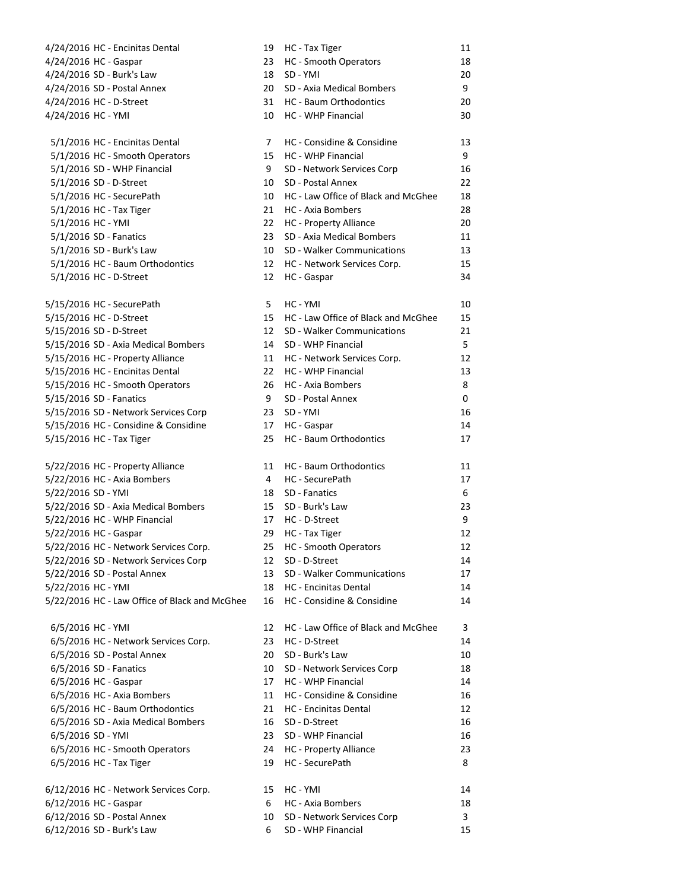4/24/2016 HC - Encinitas Dental 4/24/2016 HC - Gaspar 4/24/2016 SD - Burk's Law 4/24/2016 SD - Postal Annex 4/24/2016 HC - D-Street 4/24/2016 HC - YMI

- 5/1/2016 HC Encinitas Dental 5/1/2016 HC - Smooth Operators  $5/1/2016$  SD - WHP Financial 5/1/2016 SD - D-Street  $5/1/2016$  HC - SecurePath 5/1/2016 HC - Tax Tiger 5/1/2016 HC - YMI 5/1/2016 SD - Fanatics 5/1/2016 SD - Burk's Law 5/1/2016 HC - Baum Orthodontics 5/1/2016 HC - D-Street
- 5/15/2016 HC SecurePath 5/15/2016 HC - D-Street 5/15/2016 SD - D-Street 5/15/2016 SD - Axia Medical Bombers 5/15/2016 HC - Property Alliance 5/15/2016 HC - Encinitas Dental 5/15/2016 HC - Smooth Operators 5/15/2016 SD - Fanatics 5/15/2016 SD - Network Services Corp 5/15/2016 HC - Considine & Considine 5/15/2016 HC - Tax Tiger

5/22/2016 HC - Property Alliance 5/22/2016 HC - Axia Bombers 5/22/2016 SD - YMI 5/22/2016 SD - Axia Medical Bombers 5/22/2016 HC - WHP Financial 5/22/2016 HC - Gaspar 5/22/2016 HC - Network Services Corp. 5/22/2016 SD - Network Services Corp 5/22/2016 SD - Postal Annex 5/22/2016 HC - YMI 5/22/2016 HC - Law Office of Black and McGhee

6/5/2016 HC - YMI 6/5/2016 HC - Network Services Corp. 6/5/2016 SD - Postal Annex 6/5/2016 SD - Fanatics 6/5/2016 HC - Gaspar 6/5/2016 HC - Axia Bombers 6/5/2016 HC - Baum Orthodontics 6/5/2016 SD - Axia Medical Bombers 6/5/2016 SD - YMI 6/5/2016 HC - Smooth Operators 6/5/2016 HC - Tax Tiger 6/12/2016 HC - Network Services Corp. 6/12/2016 HC - Gaspar 6/12/2016 SD - Postal Annex

6/12/2016 SD - Burk's Law 6 SD - WHP Financial 15

| 19       | HC - Tax Tiger                          | 11      |
|----------|-----------------------------------------|---------|
| 23       | <b>HC</b> - Smooth Operators            | 18      |
| 18       | SD - YMI                                | 20      |
| 20       | SD - Axia Medical Bombers               | 9       |
| 31       | <b>HC</b> - Baum Orthodontics           | 20      |
| 10       | HC - WHP Financial                      | 30      |
| 7        | HC - Considine & Considine              | 13      |
| 15       | <b>HC - WHP Financial</b>               | 9       |
| 9        | SD - Network Services Corp              | 16      |
| 10       | SD - Postal Annex                       | 22      |
| 10       | HC - Law Office of Black and McGhee     | 18      |
| 21       | <b>HC</b> - Axia Bombers                | 28      |
| 22       | <b>HC</b> - Property Alliance           | 20      |
| 23       | SD - Axia Medical Bombers               | 11      |
| 10       | <b>SD - Walker Communications</b>       | 13      |
| 12       | HC - Network Services Corp.             | 15      |
| 12       | HC - Gaspar                             | 34      |
| 5        | HC - YMI                                | 10      |
| 15       | HC - Law Office of Black and McGhee     | 15      |
| 12       | <b>SD - Walker Communications</b>       | 21      |
| 14       | SD - WHP Financial                      | 5       |
| 11       | HC - Network Services Corp.             | 12      |
| 22<br>26 | <b>HC - WHP Financial</b>               | 13      |
| 9        | HC - Axia Bombers<br>SD - Postal Annex  | 8<br>0  |
| 23       | SD - YMI                                | 16      |
| 17       | HC - Gaspar                             | 14      |
| 25       | <b>HC</b> - Baum Orthodontics           | 17      |
|          |                                         |         |
| 11       | <b>HC</b> - Baum Orthodontics           | 11      |
| 4        | HC - SecurePath                         | 17      |
| 18<br>15 | <b>SD</b> - Fanatics<br>SD - Burk's Law | 6<br>23 |
| 17       | HC - D-Street                           | 9       |
| 29       | HC - Tax Tiger                          | 12      |
| 25       | <b>HC</b> - Smooth Operators            | 12      |
| 12       | SD - D-Street                           | 14      |
| 13       | <b>SD - Walker Communications</b>       | 17      |
| 18       | HC - Encinitas Dental                   | 14      |
| 16       | HC - Considine & Considine              | 14      |
| 12       | HC - Law Office of Black and McGhee     | 3       |
| 23       | HC - D-Street                           | 14      |
| 20       | SD - Burk's Law                         | 10      |
| 10       | SD - Network Services Corp              | 18      |
| 17       | HC - WHP Financial                      | 14      |
| 11       | HC - Considine & Considine              | 16      |
| 21       | <b>HC</b> - Encinitas Dental            | 12      |
| 16       | SD - D-Street                           | 16      |
| 23       | SD - WHP Financial                      | 16      |
| 24       | <b>HC</b> - Property Alliance           | 23      |
| 19       | HC - SecurePath                         | 8       |
| 15       | HC - YMI                                | 14      |
| 6        | <b>HC</b> - Axia Bombers                | 18      |
|          | 10 SD - Network Services Corp           | 3       |